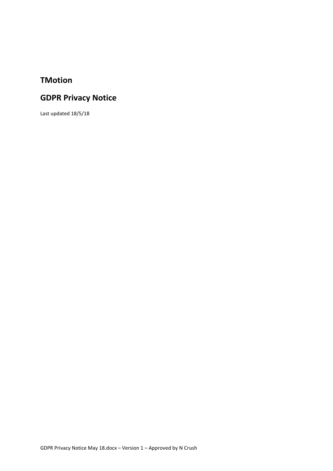## **TMotion**

# **GDPR Privacy Notice**

Last updated 18/5/18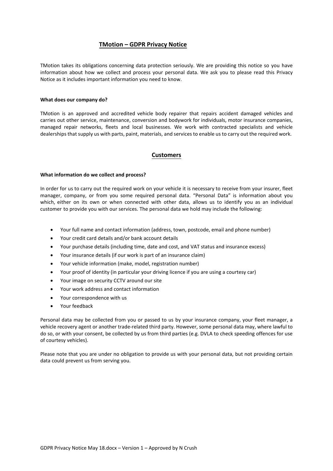### **TMotion – GDPR Privacy Notice**

TMotion takes its obligations concerning data protection seriously. We are providing this notice so you have information about how we collect and process your personal data. We ask you to please read this Privacy Notice as it includes important information you need to know.

### **What does our company do?**

TMotion is an approved and accredited vehicle body repairer that repairs accident damaged vehicles and carries out other service, maintenance, conversion and bodywork for individuals, motor insurance companies, managed repair networks, fleets and local businesses. We work with contracted specialists and vehicle dealerships that supply us with parts, paint, materials, and services to enable us to carry out the required work.

### **Customers**

### **What information do we collect and process?**

In order for us to carry out the required work on your vehicle it is necessary to receive from your insurer, fleet manager, company, or from you some required personal data. "Personal Data" is information about you which, either on its own or when connected with other data, allows us to identify you as an individual customer to provide you with our services. The personal data we hold may include the following:

- Your full name and contact information (address, town, postcode, email and phone number)
- Your credit card details and/or bank account details
- Your purchase details (including time, date and cost, and VAT status and insurance excess)
- Your insurance details (if our work is part of an insurance claim)
- Your vehicle information (make, model, registration number)
- Your proof of identity (in particular your driving licence if you are using a courtesy car)
- Your image on security CCTV around our site
- Your work address and contact information
- Your correspondence with us
- Your feedback

Personal data may be collected from you or passed to us by your insurance company, your fleet manager, a vehicle recovery agent or another trade-related third party. However, some personal data may, where lawful to do so, or with your consent, be collected by us from third parties (e.g. DVLA to check speeding offences for use of courtesy vehicles).

Please note that you are under no obligation to provide us with your personal data, but not providing certain data could prevent us from serving you.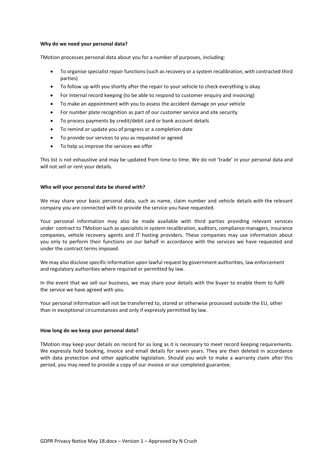### **Why do we need your personal data?**

TMotion processes personal data about you for a number of purposes, including:

- To organise specialist repair functions (such as recovery or a system recalibration, with contracted third parties)
- To follow up with you shortly after the repair to your vehicle to check everything is okay
- For internal record keeping (to be able to respond to customer enquiry and invoicing)
- To make an appointment with you to assess the accident damage on your vehicle
- For number plate recognition as part of our customer service and site security
- To process payments by credit/debit card or bank account details
- To remind or update you of progress or a completion date
- To provide our services to you as requested or agreed
- To help us improve the services we offer

This list is not exhaustive and may be updated from time to time. We do not 'trade' in your personal data and will not sell or rent your details.

### **Who will your personal data be shared with?**

We may share your basic personal data, such as name, claim number and vehicle details with the relevant company you are connected with to provide the service you have requested.

Your personal information may also be made available with third parties providing relevant services under contract to TMotion such as specialists in system recalibration, auditors, compliance managers, insurance companies, vehicle recovery agents and IT hosting providers. These companies may use information about you only to perform their functions on our behalf in accordance with the services we have requested and under the contract terms imposed.

We may also disclose specific information upon lawful request by government authorities, law enforcement and regulatory authorities where required or permitted by law.

In the event that we sell our business, we may share your details with the buyer to enable them to fulfil the service we have agreed with you.

Your personal information will not be transferred to, stored or otherwise processed outside the EU, other than in exceptional circumstances and only if expressly permitted by law.

### **How long do we keep your personal data?**

TMotion may keep your details on record for as long as it is necessary to meet record keeping requirements. We expressly hold booking, invoice and email details for seven years. They are then deleted in accordance with data protection and other applicable legislation. Should you wish to make a warranty claim after this period, you may need to provide a copy of our invoice or our completed guarantee.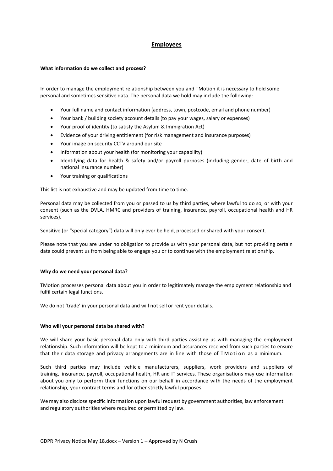### **Employees**

### **What information do we collect and process?**

In order to manage the employment relationship between you and TMotion it is necessary to hold some personal and sometimes sensitive data. The personal data we hold may include the following:

- Your full name and contact information (address, town, postcode, email and phone number)
- Your bank / building society account details (to pay your wages, salary or expenses)
- Your proof of identity (to satisfy the Asylum & Immigration Act)
- Evidence of your driving entitlement (for risk management and insurance purposes)
- Your image on security CCTV around our site
- Information about your health (for monitoring your capability)
- Identifying data for health & safety and/or payroll purposes (including gender, date of birth and national insurance number)
- Your training or qualifications

This list is not exhaustive and may be updated from time to time.

Personal data may be collected from you or passed to us by third parties, where lawful to do so, or with your consent (such as the DVLA, HMRC and providers of training, insurance, payroll, occupational health and HR services).

Sensitive (or "special category") data will only ever be held, processed or shared with your consent.

Please note that you are under no obligation to provide us with your personal data, but not providing certain data could prevent us from being able to engage you or to continue with the employment relationship.

### **Why do we need your personal data?**

TMotion processes personal data about you in order to legitimately manage the employment relationship and fulfil certain legal functions.

We do not 'trade' in your personal data and will not sell or rent your details.

### **Who will your personal data be shared with?**

We will share your basic personal data only with third parties assisting us with managing the employment relationship. Such information will be kept to a minimum and assurances received from such parties to ensure that their data storage and privacy arrangements are in line with those of TMotion as a minimum.

Such third parties may include vehicle manufacturers, suppliers, work providers and suppliers of training, insurance, payroll, occupational health, HR and IT services. These organisations may use information about you only to perform their functions on our behalf in accordance with the needs of the employment relationship, your contract terms and for other strictly lawful purposes.

We may also disclose specific information upon lawful request by government authorities, law enforcement and regulatory authorities where required or permitted by law.